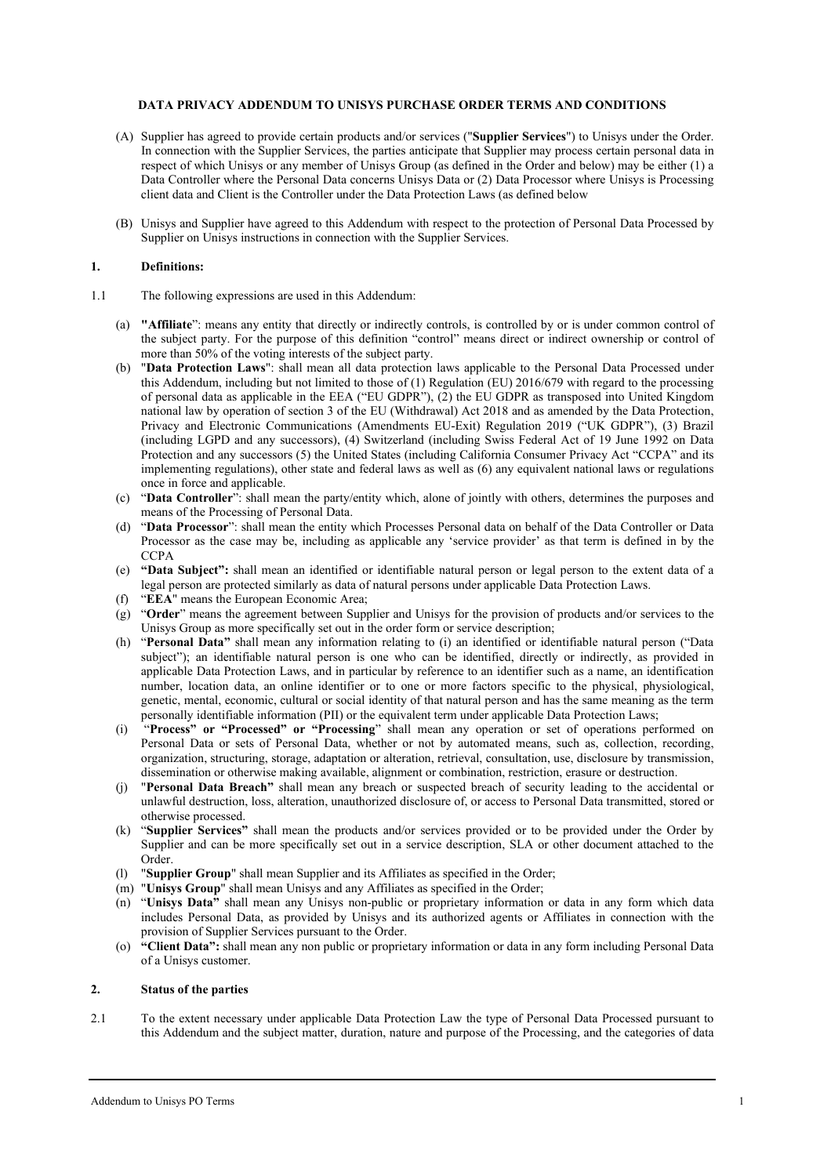#### **DATA PRIVACY ADDENDUM TO UNISYS PURCHASE ORDER TERMS AND CONDITIONS**

- (A) Supplier has agreed to provide certain products and/or services ("**Supplier Services**") to Unisys under the Order. In connection with the Supplier Services, the parties anticipate that Supplier may process certain personal data in respect of which Unisys or any member of Unisys Group (as defined in the Order and below) may be either (1) a Data Controller where the Personal Data concerns Unisys Data or (2) Data Processor where Unisys is Processing client data and Client is the Controller under the Data Protection Laws (as defined below
- (B) Unisys and Supplier have agreed to this Addendum with respect to the protection of Personal Data Processed by Supplier on Unisys instructions in connection with the Supplier Services.

## **1. Definitions:**

- 1.1 The following expressions are used in this Addendum:
	- (a) **"Affiliate**": means any entity that directly or indirectly controls, is controlled by or is under common control of the subject party. For the purpose of this definition "control" means direct or indirect ownership or control of more than 50% of the voting interests of the subject party.
	- (b) "**Data Protection Laws**": shall mean all data protection laws applicable to the Personal Data Processed under this Addendum, including but not limited to those of (1) Regulation (EU) 2016/679 with regard to the processing of personal data as applicable in the EEA ("EU GDPR"), (2) the EU GDPR as transposed into United Kingdom national law by operation of section 3 of the EU (Withdrawal) Act 2018 and as amended by the Data Protection, Privacy and Electronic Communications (Amendments EU-Exit) Regulation 2019 ("UK GDPR"), (3) Brazil (including LGPD and any successors), (4) Switzerland (including Swiss Federal Act of 19 June 1992 on Data Protection and any successors (5) the United States (including California Consumer Privacy Act "CCPA" and its implementing regulations), other state and federal laws as well as (6) any equivalent national laws or regulations once in force and applicable.
	- (c) "**Data Controller**": shall mean the party/entity which, alone of jointly with others, determines the purposes and means of the Processing of Personal Data.
	- (d) "**Data Processor**": shall mean the entity which Processes Personal data on behalf of the Data Controller or Data Processor as the case may be, including as applicable any 'service provider' as that term is defined in by the **CCPA**
	- (e) **"Data Subject":** shall mean an identified or identifiable natural person or legal person to the extent data of a legal person are protected similarly as data of natural persons under applicable Data Protection Laws.
	- (f) "**EEA**" means the European Economic Area;
	- (g) "**Order**" means the agreement between Supplier and Unisys for the provision of products and/or services to the Unisys Group as more specifically set out in the order form or service description;
	- (h) "**Personal Data"** shall mean any information relating to (i) an identified or identifiable natural person ("Data subject"); an identifiable natural person is one who can be identified, directly or indirectly, as provided in applicable Data Protection Laws, and in particular by reference to an identifier such as a name, an identification number, location data, an online identifier or to one or more factors specific to the physical, physiological, genetic, mental, economic, cultural or social identity of that natural person and has the same meaning as the term personally identifiable information (PII) or the equivalent term under applicable Data Protection Laws;
	- (i) "**Process" or "Processed" or "Processing**" shall mean any operation or set of operations performed on Personal Data or sets of Personal Data, whether or not by automated means, such as, collection, recording, organization, structuring, storage, adaptation or alteration, retrieval, consultation, use, disclosure by transmission, dissemination or otherwise making available, alignment or combination, restriction, erasure or destruction.
	- (j) "**Personal Data Breach"** shall mean any breach or suspected breach of security leading to the accidental or unlawful destruction, loss, alteration, unauthorized disclosure of, or access to Personal Data transmitted, stored or otherwise processed.
	- (k) "**Supplier Services"** shall mean the products and/or services provided or to be provided under the Order by Supplier and can be more specifically set out in a service description, SLA or other document attached to the Order.
	- (l) "**Supplier Group**" shall mean Supplier and its Affiliates as specified in the Order;
	- (m) "**Unisys Group**" shall mean Unisys and any Affiliates as specified in the Order;
	- (n) "**Unisys Data"** shall mean any Unisys non-public or proprietary information or data in any form which data includes Personal Data, as provided by Unisys and its authorized agents or Affiliates in connection with the provision of Supplier Services pursuant to the Order.
	- (o) **"Client Data":** shall mean any non public or proprietary information or data in any form including Personal Data of a Unisys customer.

## **2. Status of the parties**

2.1 To the extent necessary under applicable Data Protection Law the type of Personal Data Processed pursuant to this Addendum and the subject matter, duration, nature and purpose of the Processing, and the categories of data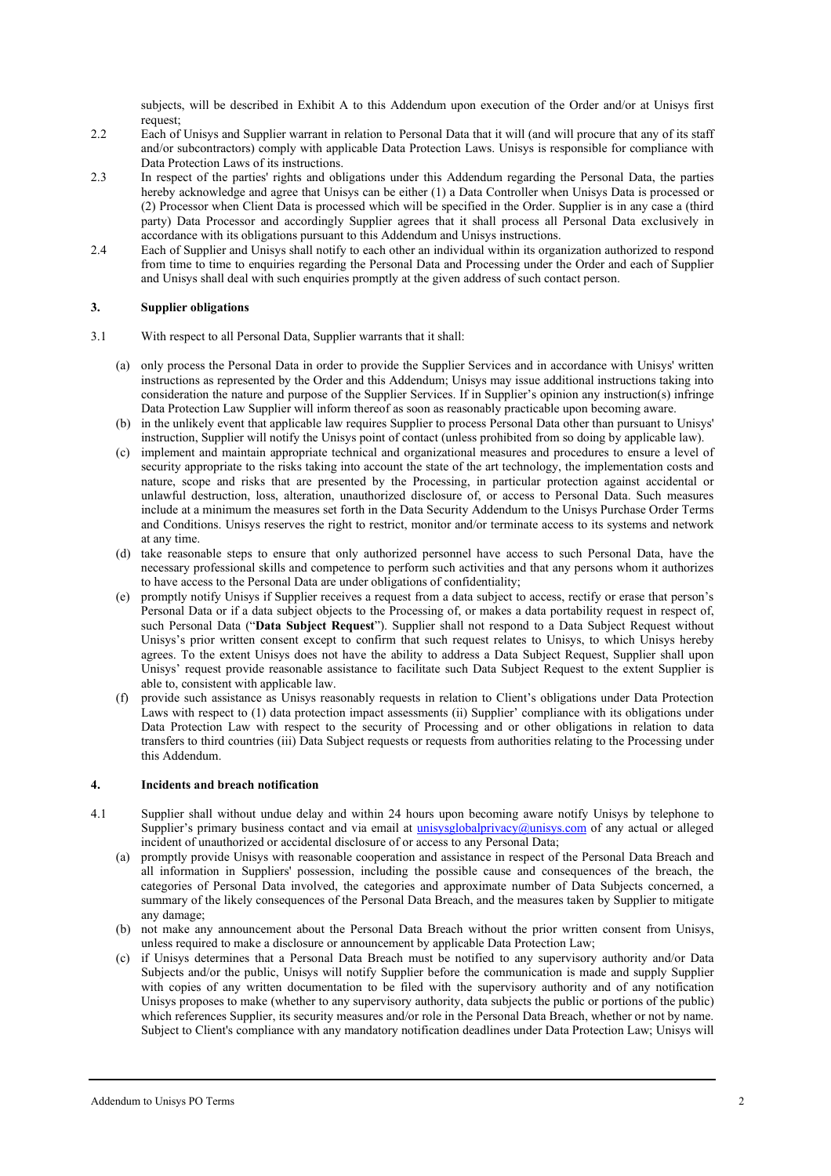subjects, will be described in Exhibit A to this Addendum upon execution of the Order and/or at Unisys first request;

- 2.2 Each of Unisys and Supplier warrant in relation to Personal Data that it will (and will procure that any of its staff and/or subcontractors) comply with applicable Data Protection Laws. Unisys is responsible for compliance with Data Protection Laws of its instructions.
- 2.3 In respect of the parties' rights and obligations under this Addendum regarding the Personal Data, the parties hereby acknowledge and agree that Unisys can be either (1) a Data Controller when Unisys Data is processed or (2) Processor when Client Data is processed which will be specified in the Order. Supplier is in any case a (third party) Data Processor and accordingly Supplier agrees that it shall process all Personal Data exclusively in accordance with its obligations pursuant to this Addendum and Unisys instructions.
- 2.4 Each of Supplier and Unisys shall notify to each other an individual within its organization authorized to respond from time to time to enquiries regarding the Personal Data and Processing under the Order and each of Supplier and Unisys shall deal with such enquiries promptly at the given address of such contact person.

## **3. Supplier obligations**

- 3.1 With respect to all Personal Data, Supplier warrants that it shall:
	- (a) only process the Personal Data in order to provide the Supplier Services and in accordance with Unisys' written instructions as represented by the Order and this Addendum; Unisys may issue additional instructions taking into consideration the nature and purpose of the Supplier Services. If in Supplier's opinion any instruction(s) infringe Data Protection Law Supplier will inform thereof as soon as reasonably practicable upon becoming aware.
	- (b) in the unlikely event that applicable law requires Supplier to process Personal Data other than pursuant to Unisys' instruction, Supplier will notify the Unisys point of contact (unless prohibited from so doing by applicable law).
	- (c) implement and maintain appropriate technical and organizational measures and procedures to ensure a level of security appropriate to the risks taking into account the state of the art technology, the implementation costs and nature, scope and risks that are presented by the Processing, in particular protection against accidental or unlawful destruction, loss, alteration, unauthorized disclosure of, or access to Personal Data. Such measures include at a minimum the measures set forth in the Data Security Addendum to the Unisys Purchase Order Terms and Conditions. Unisys reserves the right to restrict, monitor and/or terminate access to its systems and network at any time.
	- (d) take reasonable steps to ensure that only authorized personnel have access to such Personal Data, have the necessary professional skills and competence to perform such activities and that any persons whom it authorizes to have access to the Personal Data are under obligations of confidentiality;
	- (e) promptly notify Unisys if Supplier receives a request from a data subject to access, rectify or erase that person's Personal Data or if a data subject objects to the Processing of, or makes a data portability request in respect of, such Personal Data ("**Data Subject Request**"). Supplier shall not respond to a Data Subject Request without Unisys's prior written consent except to confirm that such request relates to Unisys, to which Unisys hereby agrees. To the extent Unisys does not have the ability to address a Data Subject Request, Supplier shall upon Unisys' request provide reasonable assistance to facilitate such Data Subject Request to the extent Supplier is able to, consistent with applicable law.
	- (f) provide such assistance as Unisys reasonably requests in relation to Client's obligations under Data Protection Laws with respect to (1) data protection impact assessments (ii) Supplier' compliance with its obligations under Data Protection Law with respect to the security of Processing and or other obligations in relation to data transfers to third countries (iii) Data Subject requests or requests from authorities relating to the Processing under this Addendum.

## **4. Incidents and breach notification**

- 4.1 Supplier shall without undue delay and within 24 hours upon becoming aware notify Unisys by telephone to Supplier's primary business contact and via email at *unisysglobalprivacy@unisys.com* of any actual or alleged incident of unauthorized or accidental disclosure of or access to any Personal Data;
	- (a) promptly provide Unisys with reasonable cooperation and assistance in respect of the Personal Data Breach and all information in Suppliers' possession, including the possible cause and consequences of the breach, the categories of Personal Data involved, the categories and approximate number of Data Subjects concerned, a summary of the likely consequences of the Personal Data Breach, and the measures taken by Supplier to mitigate any damage;
	- (b) not make any announcement about the Personal Data Breach without the prior written consent from Unisys, unless required to make a disclosure or announcement by applicable Data Protection Law;
	- (c) if Unisys determines that a Personal Data Breach must be notified to any supervisory authority and/or Data Subjects and/or the public, Unisys will notify Supplier before the communication is made and supply Supplier with copies of any written documentation to be filed with the supervisory authority and of any notification Unisys proposes to make (whether to any supervisory authority, data subjects the public or portions of the public) which references Supplier, its security measures and/or role in the Personal Data Breach, whether or not by name. Subject to Client's compliance with any mandatory notification deadlines under Data Protection Law; Unisys will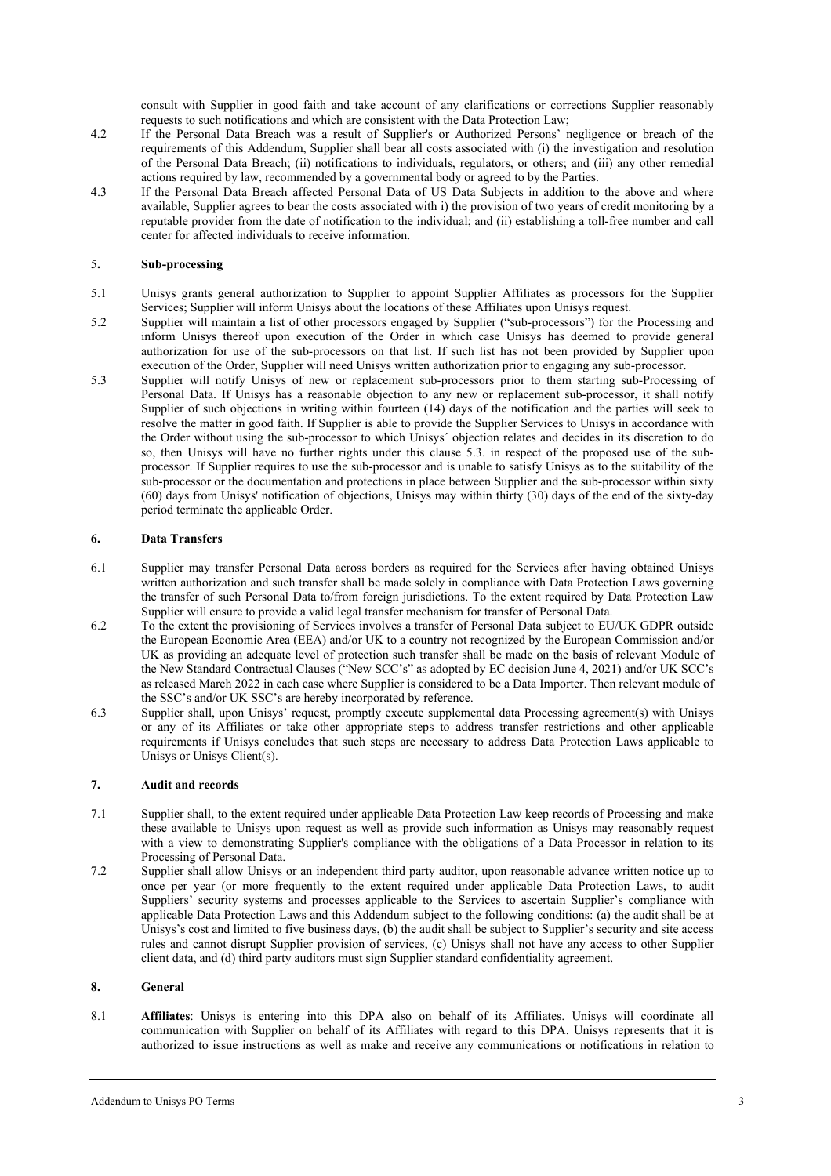consult with Supplier in good faith and take account of any clarifications or corrections Supplier reasonably requests to such notifications and which are consistent with the Data Protection Law;

- 4.2 If the Personal Data Breach was a result of Supplier's or Authorized Persons' negligence or breach of the requirements of this Addendum, Supplier shall bear all costs associated with (i) the investigation and resolution of the Personal Data Breach; (ii) notifications to individuals, regulators, or others; and (iii) any other remedial actions required by law, recommended by a governmental body or agreed to by the Parties.
- 4.3 If the Personal Data Breach affected Personal Data of US Data Subjects in addition to the above and where available, Supplier agrees to bear the costs associated with i) the provision of two years of credit monitoring by a reputable provider from the date of notification to the individual; and (ii) establishing a toll-free number and call center for affected individuals to receive information.

# 5**. Sub-processing**

- 5.1 Unisys grants general authorization to Supplier to appoint Supplier Affiliates as processors for the Supplier Services; Supplier will inform Unisys about the locations of these Affiliates upon Unisys request.
- 5.2 Supplier will maintain a list of other processors engaged by Supplier ("sub-processors") for the Processing and inform Unisys thereof upon execution of the Order in which case Unisys has deemed to provide general authorization for use of the sub-processors on that list. If such list has not been provided by Supplier upon execution of the Order, Supplier will need Unisys written authorization prior to engaging any sub-processor.
- 5.3 Supplier will notify Unisys of new or replacement sub-processors prior to them starting sub-Processing of Personal Data. If Unisys has a reasonable objection to any new or replacement sub-processor, it shall notify Supplier of such objections in writing within fourteen (14) days of the notification and the parties will seek to resolve the matter in good faith. If Supplier is able to provide the Supplier Services to Unisys in accordance with the Order without using the sub-processor to which Unisys´ objection relates and decides in its discretion to do so, then Unisys will have no further rights under this clause 5.3. in respect of the proposed use of the subprocessor. If Supplier requires to use the sub-processor and is unable to satisfy Unisys as to the suitability of the sub-processor or the documentation and protections in place between Supplier and the sub-processor within sixty (60) days from Unisys' notification of objections, Unisys may within thirty (30) days of the end of the sixty-day period terminate the applicable Order.

## **6. Data Transfers**

- 6.1 Supplier may transfer Personal Data across borders as required for the Services after having obtained Unisys written authorization and such transfer shall be made solely in compliance with Data Protection Laws governing the transfer of such Personal Data to/from foreign jurisdictions. To the extent required by Data Protection Law Supplier will ensure to provide a valid legal transfer mechanism for transfer of Personal Data.
- 6.2 To the extent the provisioning of Services involves a transfer of Personal Data subject to EU/UK GDPR outside the European Economic Area (EEA) and/or UK to a country not recognized by the European Commission and/or UK as providing an adequate level of protection such transfer shall be made on the basis of relevant Module of the New Standard Contractual Clauses ("New SCC's" as adopted by EC decision June 4, 2021) and/or UK SCC's as released March 2022 in each case where Supplier is considered to be a Data Importer. Then relevant module of the SSC's and/or UK SSC's are hereby incorporated by reference.
- 6.3 Supplier shall, upon Unisys' request, promptly execute supplemental data Processing agreement(s) with Unisys or any of its Affiliates or take other appropriate steps to address transfer restrictions and other applicable requirements if Unisys concludes that such steps are necessary to address Data Protection Laws applicable to Unisys or Unisys Client(s).

## **7. Audit and records**

- 7.1 Supplier shall, to the extent required under applicable Data Protection Law keep records of Processing and make these available to Unisys upon request as well as provide such information as Unisys may reasonably request with a view to demonstrating Supplier's compliance with the obligations of a Data Processor in relation to its Processing of Personal Data.
- 7.2 Supplier shall allow Unisys or an independent third party auditor, upon reasonable advance written notice up to once per year (or more frequently to the extent required under applicable Data Protection Laws, to audit Suppliers' security systems and processes applicable to the Services to ascertain Supplier's compliance with applicable Data Protection Laws and this Addendum subject to the following conditions: (a) the audit shall be at Unisys's cost and limited to five business days, (b) the audit shall be subject to Supplier's security and site access rules and cannot disrupt Supplier provision of services, (c) Unisys shall not have any access to other Supplier client data, and (d) third party auditors must sign Supplier standard confidentiality agreement.

## **8. General**

8.1 **Affiliates**: Unisys is entering into this DPA also on behalf of its Affiliates. Unisys will coordinate all communication with Supplier on behalf of its Affiliates with regard to this DPA. Unisys represents that it is authorized to issue instructions as well as make and receive any communications or notifications in relation to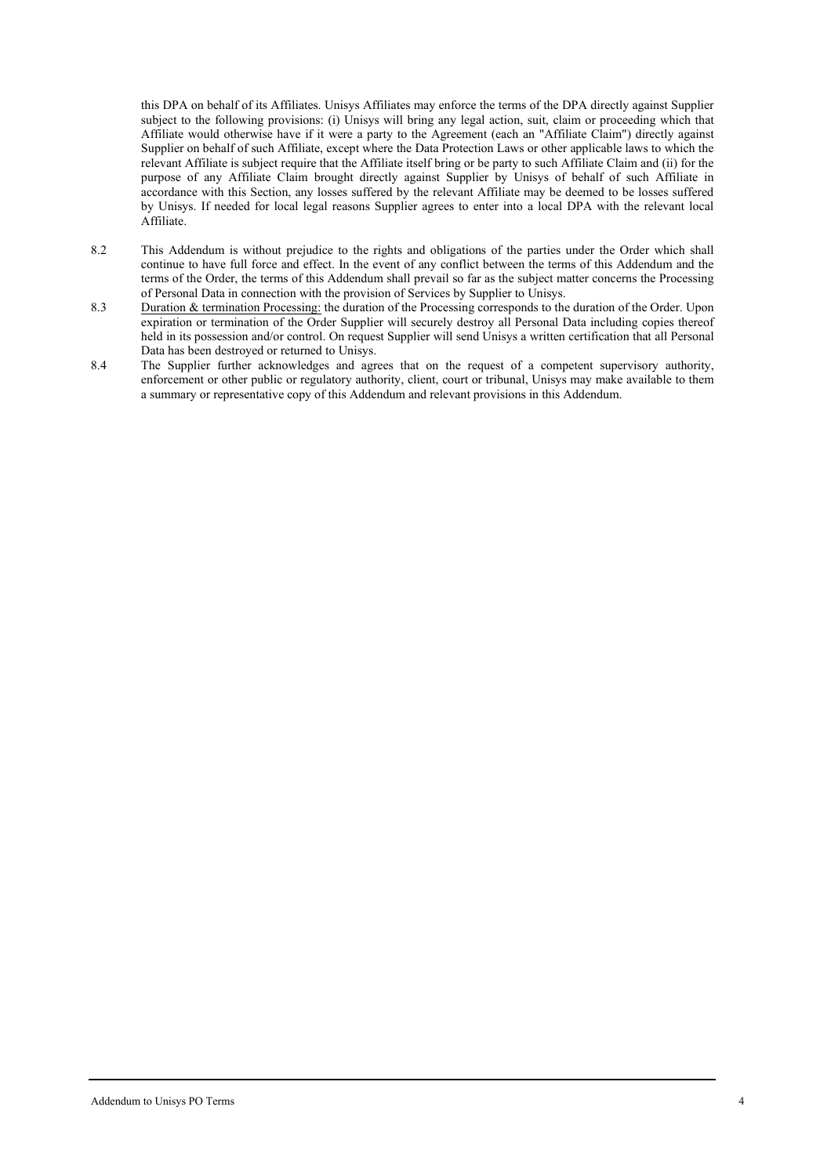this DPA on behalf of its Affiliates. Unisys Affiliates may enforce the terms of the DPA directly against Supplier subject to the following provisions: (i) Unisys will bring any legal action, suit, claim or proceeding which that Affiliate would otherwise have if it were a party to the Agreement (each an "Affiliate Claim") directly against Supplier on behalf of such Affiliate, except where the Data Protection Laws or other applicable laws to which the relevant Affiliate is subject require that the Affiliate itself bring or be party to such Affiliate Claim and (ii) for the purpose of any Affiliate Claim brought directly against Supplier by Unisys of behalf of such Affiliate in accordance with this Section, any losses suffered by the relevant Affiliate may be deemed to be losses suffered by Unisys. If needed for local legal reasons Supplier agrees to enter into a local DPA with the relevant local Affiliate.

- 8.2 This Addendum is without prejudice to the rights and obligations of the parties under the Order which shall continue to have full force and effect. In the event of any conflict between the terms of this Addendum and the terms of the Order, the terms of this Addendum shall prevail so far as the subject matter concerns the Processing of Personal Data in connection with the provision of Services by Supplier to Unisys.
- 8.3 Duration & termination Processing: the duration of the Processing corresponds to the duration of the Order. Upon expiration or termination of the Order Supplier will securely destroy all Personal Data including copies thereof held in its possession and/or control. On request Supplier will send Unisys a written certification that all Personal Data has been destroyed or returned to Unisys.
- 8.4 The Supplier further acknowledges and agrees that on the request of a competent supervisory authority, enforcement or other public or regulatory authority, client, court or tribunal, Unisys may make available to them a summary or representative copy of this Addendum and relevant provisions in this Addendum.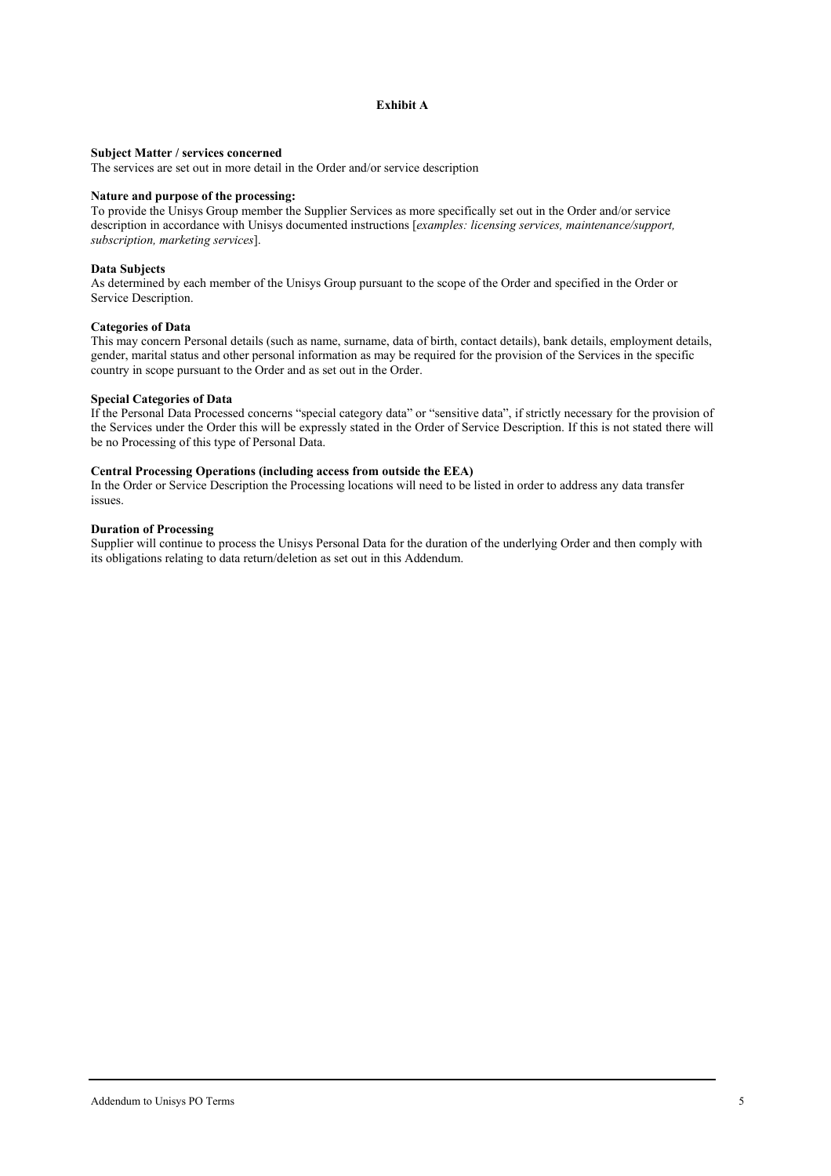## **Exhibit A**

#### **Subject Matter / services concerned**

The services are set out in more detail in the Order and/or service description

## **Nature and purpose of the processing:**

To provide the Unisys Group member the Supplier Services as more specifically set out in the Order and/or service description in accordance with Unisys documented instructions [*examples: licensing services, maintenance/support, subscription, marketing services*].

#### **Data Subjects**

As determined by each member of the Unisys Group pursuant to the scope of the Order and specified in the Order or Service Description.

## **Categories of Data**

This may concern Personal details (such as name, surname, data of birth, contact details), bank details, employment details, gender, marital status and other personal information as may be required for the provision of the Services in the specific country in scope pursuant to the Order and as set out in the Order.

#### **Special Categories of Data**

If the Personal Data Processed concerns "special category data" or "sensitive data", if strictly necessary for the provision of the Services under the Order this will be expressly stated in the Order of Service Description. If this is not stated there will be no Processing of this type of Personal Data.

## **Central Processing Operations (including access from outside the EEA)**

In the Order or Service Description the Processing locations will need to be listed in order to address any data transfer issues.

## **Duration of Processing**

Supplier will continue to process the Unisys Personal Data for the duration of the underlying Order and then comply with its obligations relating to data return/deletion as set out in this Addendum.